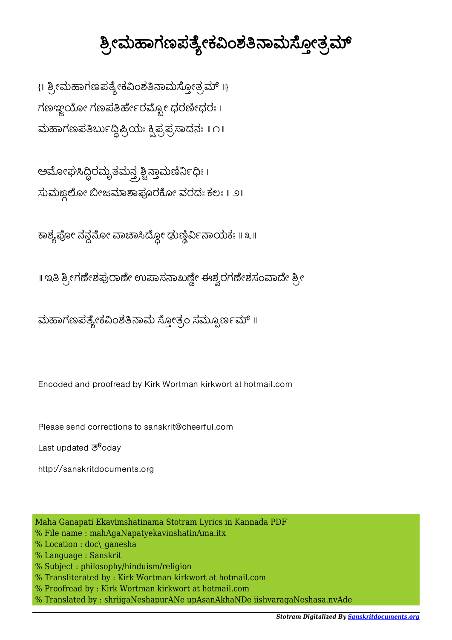## ಶ್ರೀಮಹಾಗಣಪತ್ಯೇಕವಿಂಶತಿನಾಮಸ್ತೋತ್ರಮ್

{ || ಶ್ರೀಮಹಾಗಣಪತ್ಯೇಕವಿಂಶತಿನಾಮಸ್ಗೋತ್ರಮ್ ||} ಗಣಞ್ದಯೋ ಗಣಪತಿರ್ಹೇರಮ್ಯೋ ಧರಣೀಧರಃ । ಮಹಾಗಣಪತಿರ್ಬುದ್ಧಿಪ್ರಿಯಃ ಕ್ಷಿಪ್ರಪ್ರಸಾದನಃ  $\| \cap \|$ 

ಅಮೋಘಸಿದ್ದಿರಮೃತಮನ್ತ್ರಶ್ಚಿನ್ತಾಮಣಿರ್ನಿಧಿಃ । ಸುಮಙ್ದಲೋ ಬೀಜಮಾಶಾಪೂರಕೋ ವರದಃ ಕಲಃ ॥ ೨॥

ಕಾಶ್ಯಪೋ ನನ್ಗನೋ ವಾಚಾಸಿದ್ದೋ ಢುಣ್ಣಿರ್ವಿನಾಯಕಃ ॥ ೩ <mark>॥</mark>

॥ ಇತಿ ಶ್ರೀಗಣೇಶಪುರಾಣೇ ಉಪಾಸನಾಖಣ್ಣೇ ಈಶ್ವರಗಣೇಶಸಂವಾದೇ ಶ್ರೀ

ಮಹಾಗಣಪತ್ಯೇಕವಿಂಶತಿನಾಮ ಸ್ತೋತ್ರಂ ಸಮ್ಪೂರ್ಣಮ್ ॥

Encoded and proofread by Kirk Wortman kirkwort at hotmail.com

Please send corrections to sanskrit@cheerful.com

Last updated  $\overline{3}^6$ oday

http://sanskritdocuments.org

Maha Ganapati Ekavimshatinama Stotram Lyrics in Kannada PDF % File name : mahAgaNapatyekavinshatinAma.itx % Location : doc\ ganesha % Language : Sanskrit % Subject : philosophy/hinduism/religion % Transliterated by : Kirk Wortman kirkwort at hotmail.com % Proofread by : Kirk Wortman kirkwort at hotmail.com % Translated by : shriigaNeshapurANe upAsanAkhaNDe iishvaragaNeshasa.nvAde